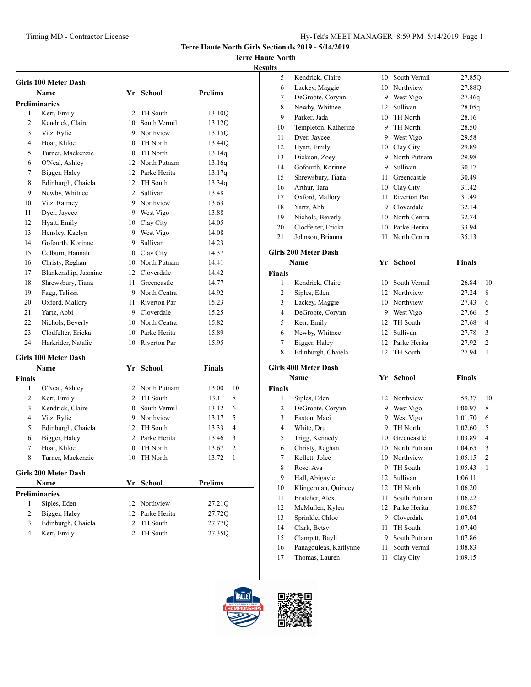## **Terre Haute North**

| <b>Results</b> |
|----------------|
|----------------|

|                | <b>Girls 100 Meter Dash</b> |                  |                 |                       |
|----------------|-----------------------------|------------------|-----------------|-----------------------|
|                | <b>Name</b>                 |                  | Yr School       | <b>Prelims</b>        |
|                | <b>Preliminaries</b>        |                  |                 |                       |
| 1              | Kerr, Emily                 | 12 <sup>12</sup> | <b>TH</b> South | 13.10Q                |
| 2              | Kendrick, Claire            |                  | 10 South Vermil | 13.12Q                |
| 3              | Vitz, Rylie                 |                  | 9 Northview     | 13.15Q                |
| $\overline{4}$ | Hoar, Khloe                 |                  | 10 TH North     | 13.44Q                |
| 5              | Turner, Mackenzie           |                  | 10 TH North     | 13.14q                |
| 6              | O'Neal, Ashley              |                  | 12 North Putnam | 13.16q                |
| 7              | Bigger, Haley               |                  | 12 Parke Herita | 13.17q                |
| 8              | Edinburgh, Chaiela          |                  | 12 TH South     | 13.34q                |
| 9              | Newby, Whitnee              |                  | 12 Sullivan     | 13.48                 |
| 10             | Vitz, Raimey                |                  | 9 Northview     | 13.63                 |
| 11             | Dyer, Jaycee                |                  | 9 West Vigo     | 13.88                 |
| 12             | Hyatt, Emily                |                  | 10 Clay City    | 14.05                 |
| 13             | Hensley, Kaelyn             |                  | 9 West Vigo     | 14.08                 |
| 14             | Gofourth, Korinne           |                  | 9 Sullivan      | 14.23                 |
| 15             | Colburn, Hannah             |                  | 10 Clay City    | 14.37                 |
| 16             | Christy, Reghan             |                  | 10 North Putnam | 14.41                 |
| 17             | Blankenship, Jasmine        |                  | 12 Cloverdale   | 14.42                 |
| 18             | Shrewsbury, Tiana           | 11               | Greencastle     | 14.77                 |
| 19             | Fagg, Talissa               |                  | 9 North Centra  | 14.92                 |
| 20             | Oxford, Mallory             |                  | 11 Riverton Par | 15.23                 |
| 21             | Yartz, Abbi                 |                  | 9 Cloverdale    | 15.25                 |
| 22             | Nichols, Beverly            |                  | 10 North Centra | 15.82                 |
| 23             | Clodfelter, Ericka          |                  | 10 Parke Herita | 15.89                 |
| 24             | Harkrider, Natalie          |                  | 10 Riverton Par | 15.95                 |
|                | <b>Girls 100 Meter Dash</b> |                  |                 |                       |
|                | Name                        |                  | Yr School       | Finals                |
| <b>Finals</b>  |                             |                  |                 |                       |
| $\mathbf{1}$   | O'Neal, Ashley              |                  | 12 North Putnam | 10<br>13.00           |
| 2              | Kerr, Emily                 | 12               | TH South        | 13.11<br>8            |
| 3              | Kendrick, Claire            |                  | 10 South Vermil | 13.12<br>6            |
| 4              | Vitz, Rylie                 |                  | 9 Northview     | 5<br>13.17            |
| 5              | Edinburgh, Chaiela          |                  | 12 TH South     | 13.33<br>4            |
| 6              | Bigger, Haley               |                  | 12 Parke Herita | 3<br>13.46            |
| 7              | Hoar, Khloe                 |                  | 10 TH North     | 2<br>13.67            |
| 8              | Turner, Mackenzie           | 10               | TH North        | 13.72<br>$\mathbf{1}$ |
|                |                             |                  |                 |                       |

# **Girls 200 Meter Dash**

|                      | Name               | Yr School       | <b>Prelims</b> |  |
|----------------------|--------------------|-----------------|----------------|--|
| <b>Preliminaries</b> |                    |                 |                |  |
|                      | Siples, Eden       | 12 Northview    | 27.21Q         |  |
|                      | Bigger, Haley      | 12 Parke Herita | 27.72Q         |  |
|                      | Edinburgh, Chaiela | 12 TH South     | 27.77Q         |  |
|                      | Kerr, Emily        | 12 TH South     | 27.35Q         |  |

| s  |                      |    |              |        |  |
|----|----------------------|----|--------------|--------|--|
| 5  | Kendrick, Claire     | 10 | South Vermil | 27.85Q |  |
| 6  | Lackey, Maggie       | 10 | Northview    | 27.88Q |  |
| 7  | DeGroote, Corynn     | 9  | West Vigo    | 27.46q |  |
| 8  | Newby, Whitnee       | 12 | Sullivan     | 28.05q |  |
| 9  | Parker, Jada         | 10 | TH North     | 28.16  |  |
| 10 | Templeton, Katherine | 9  | TH North     | 28.50  |  |
| 11 | Dyer, Jaycee         | 9  | West Vigo    | 29.58  |  |
| 12 | Hyatt, Emily         | 10 | Clay City    | 29.89  |  |
| 13 | Dickson, Zoey        | 9  | North Putnam | 29.98  |  |
| 14 | Gofourth, Korinne    | 9  | Sullivan     | 30.17  |  |
| 15 | Shrewsbury, Tiana    | 11 | Greencastle  | 30.49  |  |
| 16 | Arthur, Tara         | 10 | Clay City    | 31.42  |  |
| 17 | Oxford, Mallory      | 11 | Riverton Par | 31.49  |  |
| 18 | Yartz, Abbi          | 9  | Cloverdale   | 32.14  |  |
| 19 | Nichols, Beverly     | 10 | North Centra | 32.74  |  |
| 20 | Clodfelter, Ericka   | 10 | Parke Herita | 33.94  |  |
| 21 | Johnson, Brianna     | 11 | North Centra | 35.13  |  |

## **Girls 200 Meter Dash**

|               | Name               |    | School          | Finals |                |
|---------------|--------------------|----|-----------------|--------|----------------|
| <b>Finals</b> |                    |    |                 |        |                |
|               | Kendrick, Claire   | 10 | South Vermil    | 26.84  | 10             |
| 2             | Siples, Eden       |    | 12 Northview    | 27.24  | 8              |
| 3             | Lackey, Maggie     |    | 10 Northview    | 27.43  | 6              |
| 4             | DeGroote, Corynn   | 9  | West Vigo       | 27.66  | 5              |
| 5             | Kerr, Emily        |    | 12 TH South     | 27.68  | 4              |
| 6             | Newby, Whitnee     |    | 12 Sullivan     | 27.78  | 3              |
| 7             | Bigger, Haley      |    | 12 Parke Herita | 27.92  | $\mathfrak{D}$ |
| 8             | Edinburgh, Chaiela | 12 | TH South        | 27.94  |                |

## **Girls 400 Meter Dash**

|        | Name                   |    | School          | <b>Finals</b> |                |
|--------|------------------------|----|-----------------|---------------|----------------|
| Finals |                        |    |                 |               |                |
| 1      | Siples, Eden           | 12 | Northview       | 59.37         | 10             |
| 2      | DeGroote, Corynn       | 9  | West Vigo       | 1:00.97       | 8              |
| 3      | Easton, Maci           | 9  | West Vigo       | 1:01.70       | 6              |
| 4      | White, Dru             | 9  | TH North        | 1:02.60       | 5              |
| 5      | Trigg, Kennedy         | 10 | Greencastle     | 1:03.89       | 4              |
| 6      | Christy, Reghan        | 10 | North Putnam    | 1:04.65       | 3              |
| 7      | Kellett, Jolee         | 10 | Northview       | 1:05.15       | $\overline{c}$ |
| 8      | Rose, Ava              | 9  | TH South        | 1:05.43       | 1              |
| 9      | Hall, Abigayle         | 12 | Sullivan        | 1:06.11       |                |
| 10     | Klingerman, Quincey    | 12 | TH North        | 1:06.20       |                |
| 11     | Bratcher, Alex         | 11 | South Putnam    | 1:06.22       |                |
| 12     | McMullen, Kylen        | 12 | Parke Herita    | 1:06.87       |                |
| 13     | Sprinkle, Chloe        | 9  | Cloverdale      | 1:07.04       |                |
| 14     | Clark, Betsy           | 11 | <b>TH</b> South | 1:07.40       |                |
| 15     | Clampitt, Bayli        | 9  | South Putnam    | 1:07.86       |                |
| 16     | Panagouleas, Kaitlynne | 11 | South Vermil    | 1:08.83       |                |
| 17     | Thomas, Lauren         | 11 | Clay City       | 1:09.15       |                |
|        |                        |    |                 |               |                |



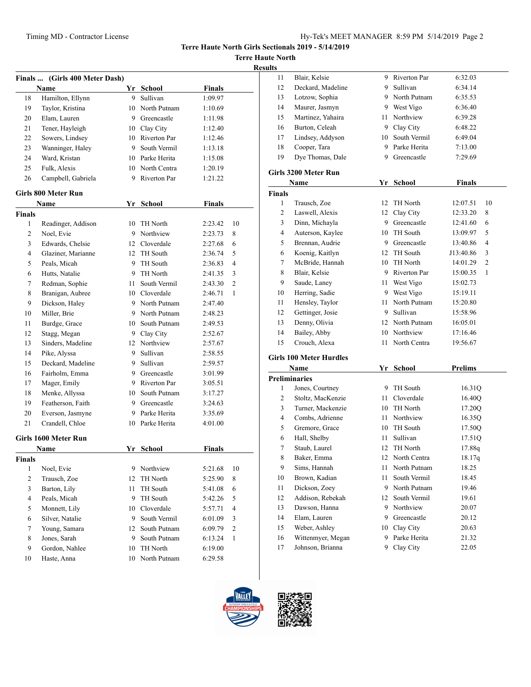**Terre Haute North**

**Results**

| <b>Finals</b>  | (Girls 400 Meter Dash)<br>Name |      | Yr School       | <b>Finals</b> |    |
|----------------|--------------------------------|------|-----------------|---------------|----|
| 18             | Hamilton, Ellynn               | 9    | Sullivan        | 1:09.97       |    |
| 19             | Taylor, Kristina               |      | 10 North Putnam | 1:10.69       |    |
| 20             | Elam, Lauren                   |      | 9 Greencastle   | 1:11.98       |    |
| 21             | Tener, Hayleigh                |      | 10 Clay City    | 1:12.40       |    |
| 22             | Sowers, Lindsey                |      | 10 Riverton Par | 1:12.46       |    |
| 23             | Wanninger, Haley               |      | 9 South Vermil  | 1:13.18       |    |
| 24             | Ward, Kristan                  |      | 10 Parke Herita | 1:15.08       |    |
| 25             | Fulk, Alexis                   |      | 10 North Centra | 1:20.19       |    |
| 26             | Campbell, Gabriela             |      | 9 Riverton Par  | 1:21.22       |    |
|                |                                |      |                 |               |    |
|                | <b>Girls 800 Meter Run</b>     |      |                 |               |    |
|                | Name                           | Yr   | <b>School</b>   | <b>Finals</b> |    |
| <b>Finals</b>  |                                |      |                 |               |    |
| 1              | Readinger, Addison             |      | 10 TH North     | 2:23.42       | 10 |
| 2              | Noel, Evie                     |      | 9 Northview     | 2:23.73       | 8  |
| 3              | Edwards, Chelsie               |      | 12 Cloverdale   | 2:27.68       | 6  |
| 4              | Glaziner, Marianne             |      | 12 TH South     | 2:36.74       | 5  |
| 5              | Peals, Micah                   |      | 9 TH South      | 2:36.83       | 4  |
| 6              | Hutts, Natalie                 |      | 9 TH North      | 2:41.35       | 3  |
| 7              | Redman, Sophie                 | 11 - | South Vermil    | 2:43.30       | 2  |
| 8              | Branigan, Aubree               |      | 10 Cloverdale   | 2:46.71       | 1  |
| 9              | Dickson, Haley                 |      | 9 North Putnam  | 2:47.40       |    |
| 10             | Miller, Brie                   |      | 9 North Putnam  | 2:48.23       |    |
| 11             | Burdge, Grace                  |      | 10 South Putnam | 2:49.53       |    |
| 12             | Stagg, Megan                   |      | 9 Clay City     | 2:52.67       |    |
| 13             | Sinders, Madeline              |      | 12 Northview    | 2:57.67       |    |
| 14             | Pike, Alyssa                   | 9    | Sullivan        | 2:58.55       |    |
| 15             | Deckard, Madeline              | 9    | Sullivan        | 2:59.57       |    |
| 16             | Fairholm, Emma                 |      | 9 Greencastle   | 3:01.99       |    |
| 17             | Mager, Emily                   |      | 9 Riverton Par  | 3:05.51       |    |
| 18             | Menke, Allyssa                 | 10   | South Putnam    | 3:17.27       |    |
| 19             | Featherson, Faith              |      | 9 Greencastle   | 3:24.63       |    |
| 20             | Everson, Jasmyne               |      | 9 Parke Herita  | 3:35.69       |    |
| 21             | Crandell, Chloe                | 10   | Parke Herita    | 4:01.00       |    |
|                | Girls 1600 Meter Run           |      |                 |               |    |
|                | Name                           |      | Yr School       | Finals        |    |
| Finals         |                                |      |                 |               |    |
| 1              | Noel, Evie                     | 9    | Northview       | 5:21.68       | 10 |
| $\overline{c}$ | Trausch, Zoe                   | 12   | TH North        | 5:25.90       | 8  |
| 3              | Barton, Lily                   | 11   | TH South        | 5:41.08       | 6  |
| 4              | Peals, Micah                   | 9    | TH South        | 5:42.26       | 5  |
| 5              | Monnett, Lily                  | 10   | Cloverdale      | 5:57.71       | 4  |
| 6              | Silver, Natalie                | 9    | South Vermil    | 6:01.09       | 3  |
| 7              | Young, Samara                  | 12   | South Putnam    | 6:09.79       | 2  |
| 8              | Jones, Sarah                   | 9    | South Putnam    | 6:13.24       | 1  |
| 9              | Gordon, Nahlee                 | 10   | TH North        | 6:19.00       |    |
| 10             | Haste, Anna                    | 10   | North Putnam    | 6:29.58       |    |
|                |                                |      |                 |               |    |

| ults           |                                |      |                |                |
|----------------|--------------------------------|------|----------------|----------------|
| 11             | Blair, Kelsie                  |      | 9 Riverton Par | 6:32.03        |
| 12             | Deckard, Madeline              | 9.   | Sullivan       | 6:34.14        |
| 13             | Lotzow, Sophia                 |      | 9 North Putnam | 6:35.53        |
| 14             | Maurer, Jasmyn                 |      | 9 West Vigo    | 6:36.40        |
| 15             | Martinez, Yahaira              | 11 - | Northview      | 6:39.28        |
| 16             | Burton, Celeah                 |      | 9 Clay City    | 6:48.22        |
| 17             | Lindsey, Addyson               | 10   | South Vermil   | 6:49.04        |
| 18             | Cooper, Tara                   |      | 9 Parke Herita | 7:13.00        |
| 19             | Dye Thomas, Dale               |      | 9 Greencastle  | 7:29.69        |
|                | Girls 3200 Meter Run           |      |                |                |
|                | Name                           |      | Yr School      | <b>Finals</b>  |
| <b>Finals</b>  |                                |      |                |                |
| 1              | Trausch, Zoe                   | 12   | TH North       | 12:07.51<br>10 |
| $\mathfrak{2}$ | Laswell, Alexis                | 12   | Clay City      | 12:33.20<br>8  |
| 3              | Dinn, Michayla                 |      | 9 Greencastle  | 6<br>12:41.60  |
| 4              | Auterson, Kaylee               | 10   | TH South       | 5<br>13:09.97  |
| 5              | Brennan, Audrie                |      | 9 Greencastle  | 4<br>13:40.86  |
| 6              | Koenig, Kaitlyn                | 12   | TH South       | J13:40.86<br>3 |
| 7              | McBride, Hannah                | 10   | TH North       | 2<br>14:01.29  |
| 8              | Blair, Kelsie                  |      | 9 Riverton Par | 15:00.35<br>1  |
| 9              | Saude, Laney                   | 11 - | West Vigo      | 15:02.73       |
| 10             | Herring, Sadie                 |      | 9 West Vigo    | 15:19.11       |
| 11             | Hensley, Taylor                | 11 - | North Putnam   | 15:20.80       |
| 12             | Gettinger, Josie               | 9.   | Sullivan       | 15:58.96       |
| 13             | Denny, Olivia                  | 12   | North Putnam   | 16:05.01       |
| 14             | Bailey, Abby                   | 10   | Northview      | 17:16.46       |
| 15             | Crouch, Alexa                  | 11   | North Centra   | 19:56.67       |
|                | <b>Girls 100 Meter Hurdles</b> |      |                |                |
|                | Name                           |      | Yr School      | <b>Prelims</b> |
|                | <b>Preliminaries</b>           |      |                |                |
| 1              | Jones, Courtney                | 9.   | TH South       | 16.31Q         |
| 2              | Stoltz, MacKenzie              | 11   | Cloverdale     | 16.40Q         |
| 3              | Turner, Mackenzie              | 10   | TH North       | 17.20Q         |
| 4              | Combs, Adrienne                | 11 - | Northview      | 16.35Q         |
| 5              | Gremore, Grace                 | 10   | TH South       | 17.50Q         |
| 6              | Hall, Shelby                   | 11   | Sullivan       | 17.51Q         |
| 7              | Staub, Laurel                  | 12   | TH North       | 17.88q         |
| 8              | Baker, Emma                    | 12   | North Centra   | 18.17q         |
| 9              | Sims, Hannah                   | 11   | North Putnam   | 18.25          |
| 10             | Brown, Kadian                  | 11   | South Vermil   | 18.45          |
| 11             | Dickson, Zoey                  |      | 9 North Putnam | 19.46          |
| 12             | Addison, Rebekah               | 12   | South Vermil   | 19.61          |
| 13             | Dawson, Hanna                  |      | 9 Northview    | 20.07          |
| 14             | Elam, Lauren                   | 9    | Greencastle    | 20.12          |
| 15             | Weber, Ashley                  | 10   | Clay City      | 20.63          |
| 16             | Wittenmyer, Megan              | 9.   | Parke Herita   | 21.32          |
| 17             | Johnson, Brianna               | 9.   | Clay City      | 22.05          |

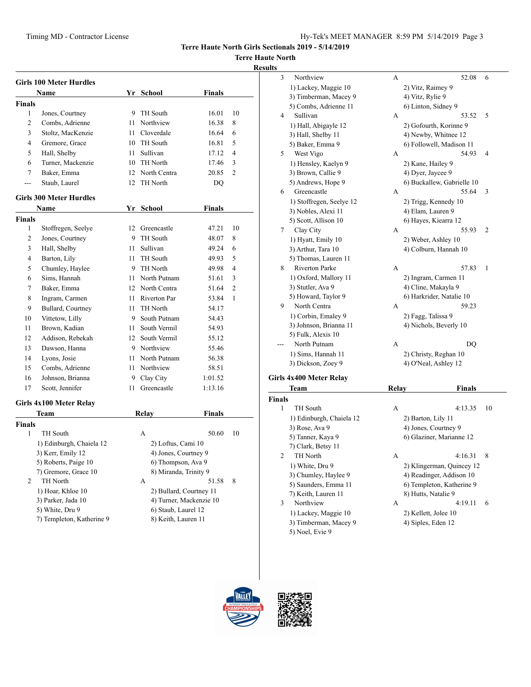**Terre Haute North**

### **Results**

|               | <b>Girls 100 Meter Hurdles</b> |                 |                         |               |                |
|---------------|--------------------------------|-----------------|-------------------------|---------------|----------------|
|               | Name                           |                 | Yr School               | Finals        |                |
| Finals        |                                |                 |                         |               |                |
| 1             | Jones, Courtney                | 9               | TH South                | 16.01         | 10             |
| 2             | Combs, Adrienne                |                 | 11 Northview            | 16.38         | 8              |
| 3             | Stoltz, MacKenzie              |                 | 11 Cloverdale           | 16.64         | 6              |
| 4             | Gremore, Grace                 |                 | 10 TH South             | 16.81         | 5              |
| 5             | Hall, Shelby                   | 11              | Sullivan                | 17.12         | $\overline{4}$ |
| 6             | Turner, Mackenzie              |                 | 10 TH North             | 17.46         | 3              |
| 7             | Baker, Emma                    |                 | 12 North Centra         | 20.85         | 2              |
| ---           | Staub, Laurel                  | 12 <sup>7</sup> | TH North                | DQ            |                |
|               | <b>Girls 300 Meter Hurdles</b> |                 |                         |               |                |
|               | Name                           | Yr              | <b>School</b>           | <b>Finals</b> |                |
| Finals        |                                |                 |                         |               |                |
| 1             | Stoffregen, Seelye             | 12              | Greencastle             | 47.21         | 10             |
| 2             | Jones, Courtney                |                 | 9 TH South              | 48.07         | 8              |
| 3             | Hall, Shelby                   |                 | 11 Sullivan             | 49.24         | 6              |
| 4             | Barton, Lily                   |                 | 11 TH South             | 49.93         | 5              |
| 5             | Chumley, Haylee                |                 | 9 TH North              | 49.98         | $\overline{4}$ |
| 6             | Sims. Hannah                   |                 | 11 North Putnam         | 51.61         | 3              |
| 7             | Baker, Emma                    |                 | 12 North Centra         | 51.64         | 2              |
| 8             | Ingram, Carmen                 |                 | 11 Riverton Par         | 53.84         | 1              |
| 9             | Bullard, Courtney              | 11              | TH North                | 54.17         |                |
| 10            | Vittetow, Lilly                | 9               | South Putnam            | 54.43         |                |
| 11            | Brown, Kadian                  | 11 -            | South Vermil            | 54.93         |                |
| 12            | Addison, Rebekah               | 12              | South Vermil            | 55.12         |                |
| 13            | Dawson, Hanna                  |                 | 9 Northview             | 55.46         |                |
| 14            | Lyons, Josie                   |                 | 11 North Putnam         | 56.38         |                |
| 15            | Combs, Adrienne                | 11              | Northview               | 58.51         |                |
| 16            | Johnson, Brianna               | 9               | Clay City               | 1:01.52       |                |
| 17            | Scott, Jennifer                | 11              | Greencastle             | 1:13.16       |                |
|               |                                |                 |                         |               |                |
|               | Girls 4x100 Meter Relay        |                 |                         |               |                |
|               | Team                           |                 | Relay                   | Finals        |                |
| <b>Finals</b> |                                |                 |                         |               |                |
| 1             | TH South                       |                 | A                       | 50.60         | 10             |
|               | 1) Edinburgh, Chaiela 12       |                 | 2) Loftus, Cami 10      |               |                |
|               | 3) Kerr, Emily 12              |                 | 4) Jones, Courtney 9    |               |                |
|               | 5) Roberts, Paige 10           |                 | 6) Thompson, Ava 9      |               |                |
|               | 7) Gremore, Grace 10           |                 | 8) Miranda, Trinity 9   |               |                |
| 2             | TH North                       |                 | A                       | 51.58         | 8              |
|               | 1) Hoar, Khloe 10              |                 | 2) Bullard, Courtney 11 |               |                |
|               | 3) Parker, Jada 10             |                 | 4) Turner, Mackenzie 10 |               |                |
|               | 5) White, Dru 9                |                 | 6) Staub, Laurel 12     |               |                |
|               | 7) Templeton, Katherine 9      |                 | 8) Keith, Lauren 11     |               |                |

| 3 | Northview                | A     | 52.08                      | 6              |
|---|--------------------------|-------|----------------------------|----------------|
|   | 1) Lackey, Maggie 10     |       | 2) Vitz, Raimey 9          |                |
|   | 3) Timberman, Macey 9    |       | 4) Vitz, Rylie 9           |                |
|   | 5) Combs, Adrienne 11    |       | 6) Linton, Sidney 9        |                |
| 4 | Sullivan                 | А     | 53.52                      | 5              |
|   | 1) Hall, Abigayle 12     |       | 2) Gofourth, Korinne 9     |                |
|   | 3) Hall, Shelby 11       |       | 4) Newby, Whitnee 12       |                |
|   | 5) Baker, Emma 9         |       | 6) Followell, Madison 11   |                |
| 5 | West Vigo                | А     | 54.93                      | 4              |
|   | 1) Hensley, Kaelyn 9     |       | 2) Kane, Hailey 9          |                |
|   | 3) Brown, Callie 9       |       | 4) Dyer, Jaycee 9          |                |
|   | 5) Andrews, Hope 9       |       | 6) Buckallew, Gabrielle 10 |                |
| 6 | Greencastle              | A     | 55.64                      | 3              |
|   | 1) Stoffregen, Seelye 12 |       | 2) Trigg, Kennedy 10       |                |
|   | 3) Nobles, Alexi 11      |       | 4) Elam, Lauren 9          |                |
|   | 5) Scott, Allison 10     |       | 6) Hayes, Kiearra 12       |                |
| 7 | Clay City                | А     | 55.93                      | $\overline{2}$ |
|   | 1) Hyatt, Emily 10       |       | 2) Weber, Ashley 10        |                |
|   | 3) Arthur, Tara 10       |       | 4) Colburn, Hannah 10      |                |
|   | 5) Thomas, Lauren 11     |       |                            |                |
| 8 | <b>Riverton Parke</b>    | A     | 57.83                      | 1              |
|   | 1) Oxford, Mallory 11    |       | 2) Ingram, Carmen 11       |                |
|   | 3) Stutler, Ava 9        |       | 4) Cline, Makayla 9        |                |
|   | 5) Howard, Taylor 9      |       | 6) Harkrider, Natalie 10   |                |
| 9 | North Centra             | A     | 59.23                      |                |
|   | 1) Corbin, Emaley 9      |       | 2) Fagg, Talissa 9         |                |
|   | 3) Johnson, Brianna 11   |       | 4) Nichols, Beverly 10     |                |
|   | 5) Fulk, Alexis 10       |       |                            |                |
|   | North Putnam             | A     | DO                         |                |
|   | 1) Sims, Hannah 11       |       | 2) Christy, Reghan 10      |                |
|   | 3) Dickson, Zoey 9       |       | 4) O'Neal, Ashley 12       |                |
|   | rls 4x400 Meter Relay    |       |                            |                |
|   | Team                     | Relav | Finals                     |                |

### Girls

|                | 1eam                     | Kelav               | Finals                    |
|----------------|--------------------------|---------------------|---------------------------|
| <b>Finals</b>  |                          |                     |                           |
| 1              | TH South                 | A                   | 4:13.35<br>10             |
|                | 1) Edinburgh, Chaiela 12 | 2) Barton, Lily 11  |                           |
|                | 3) Rose, Ava 9           |                     | 4) Jones, Courtney 9      |
|                | 5) Tanner, Kaya 9        |                     | 6) Glaziner, Marianne 12  |
|                | 7) Clark, Betsy 11       |                     |                           |
| $\mathfrak{D}$ | TH North                 | A                   | 4:16.31<br>8              |
|                | 1) White, Dru 9          |                     | 2) Klingerman, Quincey 12 |
|                | 3) Chumley, Haylee 9     |                     | 4) Readinger, Addison 10  |
|                | 5) Saunders, Emma 11     |                     | 6) Templeton, Katherine 9 |
|                | 7) Keith, Lauren 11      | 8) Hutts, Natalie 9 |                           |
| 3              | Northview                | A                   | 4:19.11<br>6              |
|                | 1) Lackey, Maggie 10     |                     | 2) Kellett, Jolee 10      |
|                | 3) Timberman, Macey 9    | 4) Siples, Eden 12  |                           |
|                | 5) Noel, Evie 9          |                     |                           |



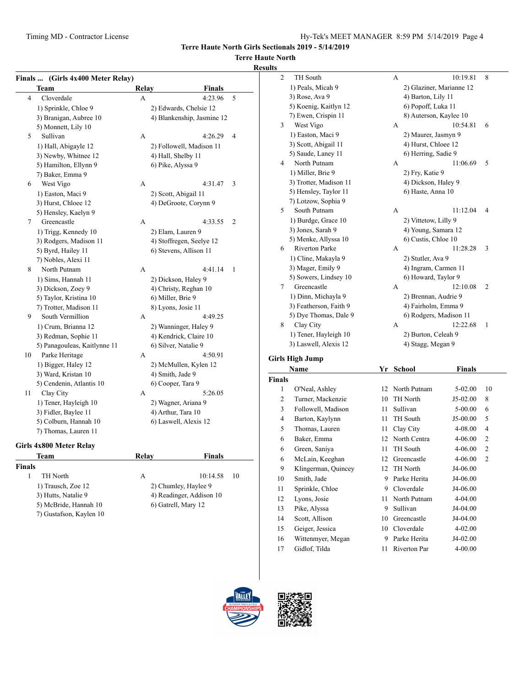8) Auterson, Kaylee 10

1) Peals, Micah 9 2) Glaziner, Marianne 12 3) Rose, Ava 9 4) Barton, Lily 11 5) Koenig, Kaitlyn 12 6) Popoff, Luka 11<br>
7) Ewen, Crispin 11 8) Auterson, Kaylee

**Terre Haute North Girls Sectionals 2019 - 5/14/2019**

## **Terre Haute North**

#### **Results** 2 TH South A 10:19.81 8

|               | Finals  (Girls 4x400 Meter Relay) |       |                            |    |
|---------------|-----------------------------------|-------|----------------------------|----|
|               | Team                              | Relay | Finals                     |    |
| 4             | Cloverdale                        | A     | 4:23.96                    | 5  |
|               | 1) Sprinkle, Chloe 9              |       | 2) Edwards, Chelsie 12     |    |
|               | 3) Branigan, Aubree 10            |       | 4) Blankenship, Jasmine 12 |    |
|               | 5) Monnett, Lily 10               |       |                            |    |
| 5             | Sullivan                          | A     | 4:26.29                    | 4  |
|               | 1) Hall, Abigayle 12              |       | 2) Followell, Madison 11   |    |
|               | 3) Newby, Whitnee 12              |       | 4) Hall, Shelby 11         |    |
|               | 5) Hamilton, Ellynn 9             |       | 6) Pike, Alyssa 9          |    |
|               | 7) Baker, Emma 9                  |       |                            |    |
| 6             | West Vigo                         | A     | 4:31.47                    | 3  |
|               | 1) Easton, Maci 9                 |       | 2) Scott, Abigail 11       |    |
|               | 3) Hurst, Chloee 12               |       | 4) DeGroote, Corynn 9      |    |
|               | 5) Hensley, Kaelyn 9              |       |                            |    |
| 7             | Greencastle                       | A     | 4:33.55                    | 2  |
|               | 1) Trigg, Kennedy 10              |       | 2) Elam, Lauren 9          |    |
|               | 3) Rodgers, Madison 11            |       | 4) Stoffregen, Seelye 12   |    |
|               | 5) Byrd, Hailey 11                |       | 6) Stevens, Allison 11     |    |
|               | 7) Nobles, Alexi 11               |       |                            |    |
| 8             | North Putnam                      | A     | 4:41.14                    | 1  |
|               | 1) Sims, Hannah 11                |       | 2) Dickson, Haley 9        |    |
|               | 3) Dickson, Zoey 9                |       | 4) Christy, Reghan 10      |    |
|               | 5) Taylor, Kristina 10            |       | 6) Miller, Brie 9          |    |
|               | 7) Trotter, Madison 11            |       | 8) Lyons, Josie 11         |    |
| 9             | South Vermillion                  | A     | 4:49.25                    |    |
|               | 1) Crum, Brianna 12               |       | 2) Wanninger, Haley 9      |    |
|               | 3) Redman, Sophie 11              |       | 4) Kendrick, Claire 10     |    |
|               | 5) Panagouleas, Kaitlynne 11      |       | 6) Silver, Natalie 9       |    |
| 10            | Parke Heritage                    | А     | 4:50.91                    |    |
|               | 1) Bigger, Haley 12               |       | 2) McMullen, Kylen 12      |    |
|               | 3) Ward, Kristan 10               |       | 4) Smith, Jade 9           |    |
|               | 5) Cendenin, Atlantis 10          |       | 6) Cooper, Tara 9          |    |
| 11            | Clay City                         | A     | 5:26.05                    |    |
|               | 1) Tener, Hayleigh 10             |       | 2) Wagner, Ariana 9        |    |
|               | 3) Fidler, Baylee 11              |       | 4) Arthur, Tara 10         |    |
|               | 5) Colburn, Hannah 10             |       | 6) Laswell, Alexis 12      |    |
|               | 7) Thomas, Lauren 11              |       |                            |    |
|               | Girls 4x800 Meter Relay           |       |                            |    |
|               | Team                              | Relay | Finals                     |    |
| <b>Finals</b> |                                   |       |                            |    |
| 1             | TH North                          | А     | 10:14.58                   | 10 |
|               | 1) Trausch, Zoe 12                |       | 2) Chumley, Haylee 9       |    |

3) Hutts, Natalie 9 4) Readinger, Addison 10 5) McBride, Hannah 10 6) Gatrell, Mary 12

7) Gustafson, Kaylen 10

| 3 | West Vigo              | A | 10:54.81               | 6              |  |
|---|------------------------|---|------------------------|----------------|--|
|   | 1) Easton, Maci 9      |   | 2) Maurer, Jasmyn 9    |                |  |
|   | 3) Scott, Abigail 11   |   | 4) Hurst, Chloee 12    |                |  |
|   | 5) Saude, Laney 11     |   | 6) Herring, Sadie 9    |                |  |
| 4 | North Putnam           | A | 11:06.69               | 5              |  |
|   | 1) Miller, Brie 9      |   | 2) Fry, Katie 9        |                |  |
|   | 3) Trotter, Madison 11 |   | 4) Dickson, Haley 9    |                |  |
|   | 5) Hensley, Taylor 11  |   | 6) Haste, Anna 10      |                |  |
|   | 7) Lotzow, Sophia 9    |   |                        |                |  |
| 5 | South Putnam           | A | 11:12.04               | 4              |  |
|   | 1) Burdge, Grace 10    |   | 2) Vittetow, Lilly 9   |                |  |
|   | 3) Jones, Sarah 9      |   | 4) Young, Samara 12    |                |  |
|   | 5) Menke, Allyssa 10   |   | 6) Custis, Chloe 10    |                |  |
| 6 | <b>Riverton Parke</b>  | A | 11:28.28               | 3              |  |
|   | 1) Cline, Makayla 9    |   | 2) Stutler, Ava 9      |                |  |
|   | 3) Mager, Emily 9      |   | 4) Ingram, Carmen 11   |                |  |
|   | 5) Sowers, Lindsey 10  |   | 6) Howard, Taylor 9    |                |  |
| 7 | Greencastle            | A | 12:10.08               | $\overline{2}$ |  |
|   | 1) Dinn, Michayla 9    |   | 2) Brennan, Audrie 9   |                |  |
|   | 3) Featherson, Faith 9 |   | 4) Fairholm, Emma 9    |                |  |
|   | 5) Dye Thomas, Dale 9  |   | 6) Rodgers, Madison 11 |                |  |
| 8 | Clay City              | A | 12:22.68               | 1              |  |
|   | 1) Tener, Hayleigh 10  |   | 2) Burton, Celeah 9    |                |  |
|   | 3) Laswell, Alexis 12  |   | 4) Stagg, Megan 9      |                |  |
|   | ls High Jumn           |   |                        |                |  |
|   |                        |   |                        |                |  |

# **Girls High**

|               | Name                | Yr | School       | <b>Finals</b> |                |
|---------------|---------------------|----|--------------|---------------|----------------|
| <b>Finals</b> |                     |    |              |               |                |
| 1             | O'Neal, Ashley      | 12 | North Putnam | $5-02.00$     | 10             |
| 2             | Turner, Mackenzie   | 10 | TH North     | $J5-02.00$    | 8              |
| 3             | Followell, Madison  | 11 | Sullivan     | $5-00.00$     | 6              |
| 4             | Barton, Kaylynn     | 11 | TH South     | $J5-00.00$    | 5              |
| 5             | Thomas, Lauren      | 11 | Clay City    | 4-08.00       | 4              |
| 6             | Baker, Emma         | 12 | North Centra | $4 - 06.00$   | $\overline{c}$ |
| 6             | Green, Saniya       | 11 | TH South     | $4 - 06.00$   | 2              |
| 6             | McLain, Keeghan     | 12 | Greencastle  | $4 - 06.00$   | $\overline{2}$ |
| 9             | Klingerman, Quincey | 12 | TH North     | J4-06.00      |                |
| 10            | Smith, Jade         | 9  | Parke Herita | J4-06.00      |                |
| 11            | Sprinkle, Chloe     | 9  | Cloverdale   | J4-06.00      |                |
| 12            | Lyons, Josie        | 11 | North Putnam | 4-04.00       |                |
| 13            | Pike, Alyssa        | 9  | Sullivan     | J4-04.00      |                |
| 14            | Scott, Allison      | 10 | Greencastle  | J4-04.00      |                |
| 15            | Geiger, Jessica     | 10 | Cloverdale   | $4 - 02.00$   |                |
| 16            | Wittenmyer, Megan   | 9  | Parke Herita | J4-02.00      |                |
| 17            | Gidlof, Tilda       | 11 | Riverton Par | 4-00.00       |                |



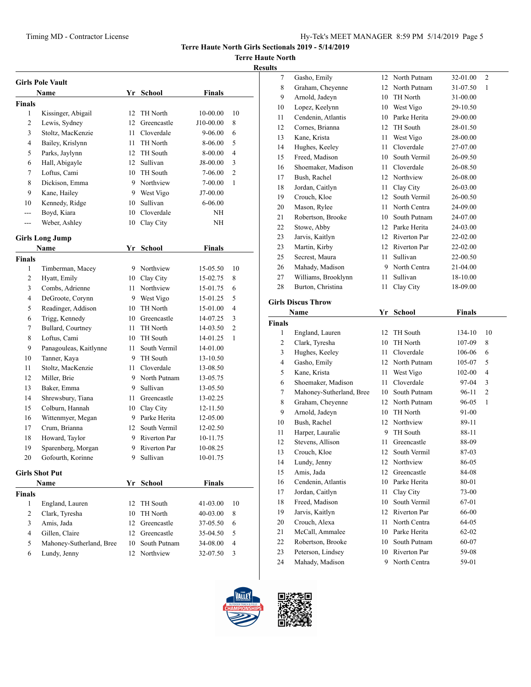# **Terre Haute North**

## **Results**

|                       | <b>Girls Pole Vault</b>  |      |                 |               |                |
|-----------------------|--------------------------|------|-----------------|---------------|----------------|
|                       | Name                     |      | Yr School       | <b>Finals</b> |                |
| <b>Finals</b>         |                          |      |                 |               |                |
| 1                     | Kissinger, Abigail       | 12   | TH North        | 10-00.00      | 10             |
| $\overline{2}$        | Lewis, Sydney            | 12   | Greencastle     | J10-00.00     | 8              |
| 3                     | Stoltz, MacKenzie        | 11   | Cloverdale      | 9-06.00       | 6              |
| 4                     | Bailey, Krislynn         | 11   | <b>TH</b> North | 8-06.00       | 5              |
| 5                     | Parks, Jaylynn           |      | 12 TH South     | 8-00.00       | 4              |
| 6                     | Hall, Abigayle           |      | 12 Sullivan     | J8-00.00      | 3              |
| 7                     | Loftus, Cami             |      | 10 TH South     | 7-06.00       | $\overline{2}$ |
| 8                     | Dickison, Emma           | 9    | Northview       | 7-00.00       | 1              |
| 9                     | Kane, Hailey             | 9    | West Vigo       | J7-00.00      |                |
| 10                    | Kennedy, Ridge           | 10   | Sullivan        | 6-06.00       |                |
| ---                   | Boyd, Kiara              | 10   | Cloverdale      | NΗ            |                |
| $---$                 | Weber, Ashley            | 10   | Clay City       | NΗ            |                |
|                       |                          |      |                 |               |                |
|                       | <b>Girls Long Jump</b>   |      |                 |               |                |
|                       | Name                     | Yr   | <b>School</b>   | <b>Finals</b> |                |
| <b>Finals</b>         |                          |      |                 |               |                |
| 1                     | Timberman, Macey         |      | 9 Northview     | 15-05.50      | 10             |
| 2                     | Hyatt, Emily             |      | 10 Clay City    | 15-02.75      | 8              |
| 3                     | Combs, Adrienne          | 11   | Northview       | 15-01.75      | 6              |
| 4                     | DeGroote, Corynn         |      | 9 West Vigo     | 15-01.25      | 5              |
| 5                     | Readinger, Addison       |      | 10 TH North     | 15-01.00      | 4              |
| 6                     | Trigg, Kennedy           |      | 10 Greencastle  | 14-07.25      | 3              |
| 7                     | Bullard, Courtney        | 11   | TH North        | 14-03.50      | 2              |
| 8                     | Loftus, Cami             | 10   | TH South        | 14-01.25      | $\mathbf{1}$   |
| 9                     | Panagouleas, Kaitlynne   | 11   | South Vermil    | 14-01.00      |                |
| 10                    | Tanner, Kaya             | 9    | TH South        | 13-10.50      |                |
| 11                    | Stoltz, MacKenzie        | 11 - | Cloverdale      | 13-08.50      |                |
| 12                    | Miller, Brie             | 9    | North Putnam    | 13-05.75      |                |
| 13                    | Baker, Emma              | 9    | Sullivan        | 13-05.50      |                |
| 14                    | Shrewsbury, Tiana        |      | 11 Greencastle  | 13-02.25      |                |
| 15                    | Colburn, Hannah          |      | 10 Clay City    | 12-11.50      |                |
| 16                    | Wittenmyer, Megan        |      | 9 Parke Herita  | 12-05.00      |                |
| 17                    | Crum, Brianna            |      | 12 South Vermil | 12-02.50      |                |
| 18                    | Howard, Taylor           | 9    | Riverton Par    | 10-11.75      |                |
| 19                    | Sparenberg, Morgan       | 9    | Riverton Par    | 10-08.25      |                |
| 20                    | Gofourth, Korinne        | 9    | Sullivan        | 10-01.75      |                |
|                       |                          |      |                 |               |                |
| <b>Girls Shot Put</b> |                          |      |                 |               |                |
| Name                  |                          |      | Yr School       | <b>Finals</b> |                |
| <b>Finals</b>         |                          |      |                 |               |                |
| 1                     | England, Lauren          | 12   | TH South        | 41-03.00      | 10             |
| $\overline{2}$        | Clark, Tyresha           | 10   | TH North        | 40-03.00      | 8              |
| 3                     | Amis, Jada               | 12   | Greencastle     | 37-05.50      | 6              |
| 4                     | Gillen, Claire           |      | 12 Greencastle  | 35-04.50      | 5              |
| 5                     | Mahoney-Sutherland, Bree | 10   | South Putnam    | 34-08.00      | 4              |
| 6                     | Lundy, Jenny             | 12   | Northview       | 32-07.50      | 3              |

| սււծ          |                                      |          |                              |                |                |
|---------------|--------------------------------------|----------|------------------------------|----------------|----------------|
| 7             | Gasho, Emily                         |          | 12 North Putnam              | 32-01.00       | 2              |
| 8             | Graham, Cheyenne                     |          | 12 North Putnam              | 31-07.50       | 1              |
| 9             | Arnold, Jadeyn                       |          | 10 TH North                  | 31-00.00       |                |
| 10            | Lopez, Keelynn                       |          | 10 West Vigo                 | 29-10.50       |                |
| 11            | Cendenin, Atlantis                   |          | 10 Parke Herita              | 29-00.00       |                |
| 12            | Cornes, Brianna                      | 12       | TH South                     | 28-01.50       |                |
| 13            | Kane, Krista                         | 11       | West Vigo                    | 28-00.00       |                |
| 14            | Hughes, Keeley                       | 11       | Cloverdale                   | 27-07.00       |                |
| 15            | Freed, Madison                       |          | 10 South Vermil              | 26-09.50       |                |
| 16            | Shoemaker, Madison                   | 11 -     | Cloverdale                   | 26-08.50       |                |
| 17            | Bush, Rachel                         |          | 12 Northview                 | 26-08.00       |                |
| 18            | Jordan, Caitlyn                      | 11 -     | Clay City                    | 26-03.00       |                |
| 19            | Crouch, Kloe                         |          | 12 South Vermil              | 26-00.50       |                |
| 20            | Mason, Rylee                         | 11 -     | North Centra                 | 24-09.00       |                |
| 21            | Robertson, Brooke                    |          | 10 South Putnam              | 24-07.00       |                |
| 22            | Stowe, Abby                          |          | 12 Parke Herita              | 24-03.00       |                |
| 23            | Jarvis, Kaitlyn                      |          | 12 Riverton Par              | 22-02.00       |                |
| 23            | Martin, Kirby                        |          | 12 Riverton Par              | 22-02.00       |                |
| 25            | Secrest, Maura                       | 11       | Sullivan                     | 22-00.50       |                |
| 26            | Mahady, Madison                      |          | 9 North Centra               | 21-04.00       |                |
| 27            | Williams, Brooklynn                  | 11       | Sullivan                     | 18-10.00       |                |
| 28            | Burton, Christina                    | 11       | Clay City                    | 18-09.00       |                |
|               | <b>Girls Discus Throw</b>            |          |                              |                |                |
|               | Name                                 | Yr       | <b>School</b>                | Finals         |                |
| <b>Finals</b> |                                      |          |                              |                |                |
| 1             | England, Lauren                      |          | 12 TH South                  | 134-10         | 10             |
| 2             | Clark, Tyresha                       |          | 10 TH North                  | 107-09         | 8              |
| 3             | Hughes, Keeley                       | 11 -     | Cloverdale                   | 106-06         | 6              |
| 4             | Gasho, Emily                         |          | 12 North Putnam              | 105-07         | 5              |
| 5             | Kane, Krista                         |          | 11 West Vigo                 | 102-00         | 4              |
| 6             | Shoemaker, Madison                   | 11       | Cloverdale                   | 97-04          | 3              |
| 7             | Mahoney-Sutherland, Bree             |          | 10 South Putnam              | 96-11          | $\overline{2}$ |
| 8             | Graham, Cheyenne                     |          |                              |                |                |
| 9             |                                      |          |                              |                |                |
| 10            |                                      |          | 12 North Putnam              | 96-05          | 1              |
|               | Arnold, Jadeyn                       |          | 10 TH North                  | 91-00          |                |
|               | Bush, Rachel                         |          | 12 Northview                 | 89-11          |                |
| 11            | Harper, Lauralie                     | 11       | 9 TH South<br>Greencastle    | 88-11          |                |
| 12            | Stevens, Allison                     | 12       | South Vermil                 | 88-09          |                |
| 13            | Crouch, Kloe                         | 12       |                              | 87-03          |                |
| 14<br>15      | Lundy, Jenny<br>Amis, Jada           | 12       | Northview<br>Greencastle     | 86-05          |                |
|               |                                      | 10       | Parke Herita                 | 84-08          |                |
| 16<br>17      | Cendenin, Atlantis                   | 11       |                              | 80-01<br>73-00 |                |
|               | Jordan, Caitlyn                      | 10       | Clay City                    |                |                |
| 18            | Freed, Madison                       |          | South Vermil                 | 67-01          |                |
| 19            | Jarvis, Kaitlyn                      | 12<br>11 | Riverton Par<br>North Centra | 66-00<br>64-05 |                |
| 20<br>21      | Crouch, Alexa                        |          | 10 Parke Herita              | 62-02          |                |
|               | McCall, Ammalee<br>Robertson, Brooke | 10       | South Putnam                 |                |                |
| 22            |                                      |          | 10 Riverton Par              | 60-07          |                |
| 23<br>24      | Peterson, Lindsey<br>Mahady, Madison |          | 9 North Centra               | 59-08<br>59-01 |                |